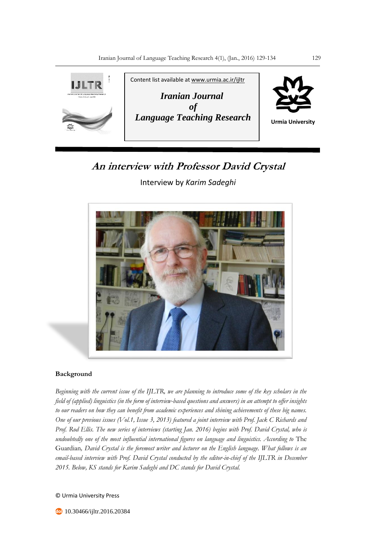

# **An interview with Professor David Crystal**

Interview by *Karim Sadeghi*



### **Background**

*Beginning with the current issue of the IJLTR, we are planning to introduce some of the key scholars in the field of (applied) linguistics (in the form of interview-based questions and answers) in an attempt to offer insights to our readers on how they can benefit from academic experiences and shining achievements of these big names. One of our previous issues (Vol.1, Issue 3, 2013) featured a joint interview with Prof. Jack C Richards and Prof. Rod Ellis. The new series of interviews (starting Jan. 2016) begins with Prof. David Crystal, who is undoubtedly one of the most influential international figures on language and linguistics. According to* The Guardian*, David Crystal is the foremost writer and lecturer on the English language. What follows is an email-based interview with Prof. David Crystal conducted by the editor-in-chief of the IJLTR in December 2015. Below, KS stands for Karim Sadeghi and DC stands for David Crystal.*

© Urmia University Press

**10.30466/ijltr.2016.20384**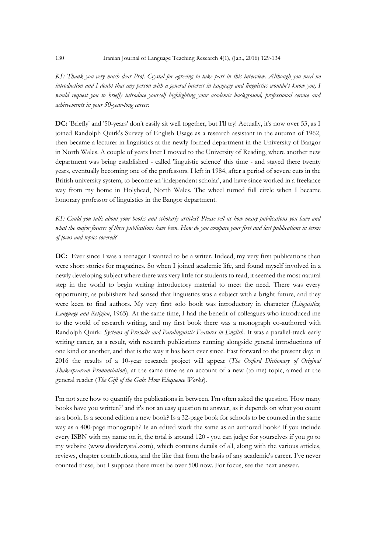*KS: Thank you very much dear Prof. Crystal for agreeing to take part in this interview. Although you need no introduction and I doubt that any person with a general interest in language and linguistics wouldn't know you, I would request you to briefly introduce yourself highlighting your academic background, professional service and achievements in your 50-year-long career.*

**DC:** 'Briefly' and '50-years' don't easily sit well together, but I'll try! Actually, it's now over 53, as I joined Randolph Quirk's Survey of English Usage as a research assistant in the autumn of 1962, then became a lecturer in linguistics at the newly formed department in the University of Bangor in North Wales. A couple of years later I moved to the University of Reading, where another new department was being established - called 'linguistic science' this time - and stayed there twenty years, eventually becoming one of the professors. I left in 1984, after a period of severe cuts in the British university system, to become an 'independent scholar', and have since worked in a freelance way from my home in Holyhead, North Wales. The wheel turned full circle when I became honorary professor of linguistics in the Bangor department.

*KS: Could you talk about your books and scholarly articles? Please tell us how many publications you have and what the major focuses of these publications have been. How do you compare your first and last publications in terms of focus and topics covered?*

**DC:** Ever since I was a teenager I wanted to be a writer. Indeed, my very first publications then were short stories for magazines. So when I joined academic life, and found myself involved in a newly developing subject where there was very little for students to read, it seemed the most natural step in the world to begin writing introductory material to meet the need. There was every opportunity, as publishers had sensed that linguistics was a subject with a bright future, and they were keen to find authors. My very first solo book was introductory in character (*Linguistics, Language and Religion*, 1965). At the same time, I had the benefit of colleagues who introduced me to the world of research writing, and my first book there was a monograph co-authored with Randolph Quirk: *Systems of Prosodic and Paralinguistic Features in English*. It was a parallel-track early writing career, as a result, with research publications running alongside general introductions of one kind or another, and that is the way it has been ever since. Fast forward to the present day: in 2016 the results of a 10-year research project will appear (*The Oxford Dictionary of Original Shakespearean Pronunciation*), at the same time as an account of a new (to me) topic, aimed at the general reader (*The Gift of the Gab: How Eloquence Works*).

I'm not sure how to quantify the publications in between. I'm often asked the question 'How many books have you written?' and it's not an easy question to answer, as it depends on what you count as a book. Is a second edition a new book? Is a 32-page book for schools to be counted in the same way as a 400-page monograph? Is an edited work the same as an authored book? If you include every ISBN with my name on it, the total is around 120 - you can judge for yourselves if you go to my website (www.davidcrystal.com), which contains details of all, along with the various articles, reviews, chapter contributions, and the like that form the basis of any academic's career. I've never counted these, but I suppose there must be over 500 now. For focus, see the next answer.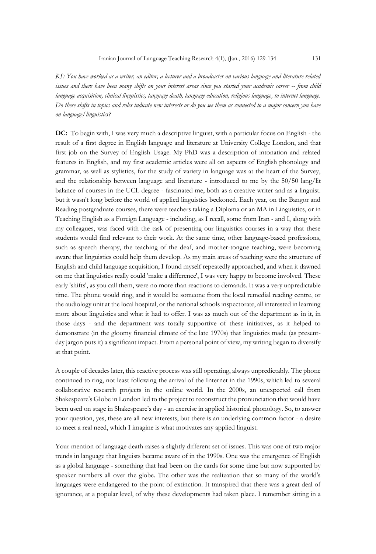*KS: You have worked as a writer, an editor, a lecturer and a broadcaster on various language and literature related issues and there have been many shifts on your interest areas since you started your academic career -- from child language acquisition, clinical linguistics, language death, language education, religious language, to internet language. Do these shifts in topics and roles indicate new interests or do you see them as connected to a major concern you have on language/linguistics?*

**DC:** To begin with, I was very much a descriptive linguist, with a particular focus on English - the result of a first degree in English language and literature at University College London, and that first job on the Survey of English Usage. My PhD was a description of intonation and related features in English, and my first academic articles were all on aspects of English phonology and grammar, as well as stylistics, for the study of variety in language was at the heart of the Survey, and the relationship between language and literature - introduced to me by the 50/50 lang/lit balance of courses in the UCL degree - fascinated me, both as a creative writer and as a linguist. but it wasn't long before the world of applied linguistics beckoned. Each year, on the Bangor and Reading postgraduate courses, there were teachers taking a Diploma or an MA in Linguistics, or in Teaching English as a Foreign Language - including, as I recall, some from Iran - and I, along with my colleagues, was faced with the task of presenting our linguistics courses in a way that these students would find relevant to their work. At the same time, other language-based professions, such as speech therapy, the teaching of the deaf, and mother-tongue teaching, were becoming aware that linguistics could help them develop. As my main areas of teaching were the structure of English and child language acquisition, I found myself repeatedly approached, and when it dawned on me that linguistics really could 'make a difference', I was very happy to become involved. These early 'shifts', as you call them, were no more than reactions to demands. It was a very unpredictable time. The phone would ring, and it would be someone from the local remedial reading centre, or the audiology unit at the local hospital, or the national schools inspectorate, all interested in learning more about linguistics and what it had to offer. I was as much out of the department as in it, in those days - and the department was totally supportive of these initiatives, as it helped to demonstrate (in the gloomy financial climate of the late 1970s) that linguistics made (as presentday jargon puts it) a significant impact. From a personal point of view, my writing began to diversify at that point.

A couple of decades later, this reactive process was still operating, always unpredictably. The phone continued to ring, not least following the arrival of the Internet in the 1990s, which led to several collaborative research projects in the online world. In the 2000s, an unexpected call from Shakespeare's Globe in London led to the project to reconstruct the pronunciation that would have been used on stage in Shakespeare's day - an exercise in applied historical phonology. So, to answer your question, yes, these are all new interests, but there is an underlying common factor - a desire to meet a real need, which I imagine is what motivates any applied linguist.

Your mention of language death raises a slightly different set of issues. This was one of two major trends in language that linguists became aware of in the 1990s. One was the emergence of English as a global language - something that had been on the cards for some time but now supported by speaker numbers all over the globe. The other was the realization that so many of the world's languages were endangered to the point of extinction. It transpired that there was a great deal of ignorance, at a popular level, of why these developments had taken place. I remember sitting in a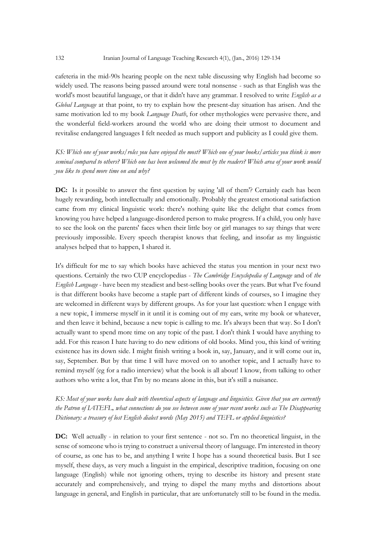cafeteria in the mid-90s hearing people on the next table discussing why English had become so widely used. The reasons being passed around were total nonsense - such as that English was the world's most beautiful language, or that it didn't have any grammar. I resolved to write *English as a Global Language* at that point, to try to explain how the present-day situation has arisen. And the same motivation led to my book *Language Death*, for other mythologies were pervasive there, and the wonderful field-workers around the world who are doing their utmost to document and revitalise endangered languages I felt needed as much support and publicity as I could give them.

*KS: Which one of your works/roles you have enjoyed the most? Which one of your books/articles you think is more seminal compared to others? Which one has been welcomed the most by the readers? Which area of your work would you like to spend more time on and why?*

**DC:** Is it possible to answer the first question by saying 'all of them'? Certainly each has been hugely rewarding, both intellectually and emotionally. Probably the greatest emotional satisfaction came from my clinical linguistic work: there's nothing quite like the delight that comes from knowing you have helped a language-disordered person to make progress. If a child, you only have to see the look on the parents' faces when their little boy or girl manages to say things that were previously impossible. Every speech therapist knows that feeling, and insofar as my linguistic analyses helped that to happen, I shared it.

It's difficult for me to say which books have achieved the status you mention in your next two questions. Certainly the two CUP encyclopedias - *The Cambridge Encyclopedia of Language* and of *the English Language* - have been my steadiest and best-selling books over the years. But what I've found is that different books have become a staple part of different kinds of courses, so I imagine they are welcomed in different ways by different groups. As for your last question: when I engage with a new topic, I immerse myself in it until it is coming out of my ears, write my book or whatever, and then leave it behind, because a new topic is calling to me. It's always been that way. So I don't actually want to spend more time on any topic of the past. I don't think I would have anything to add. For this reason I hate having to do new editions of old books. Mind you, this kind of writing existence has its down side. I might finish writing a book in, say, January, and it will come out in, say, September. But by that time I will have moved on to another topic, and I actually have to remind myself (eg for a radio interview) what the book is all about! I know, from talking to other authors who write a lot, that I'm by no means alone in this, but it's still a nuisance.

# *KS: Most of your works have dealt with theoretical aspects of language and linguistics. Given that you are currently the Patron of IATEFL, what connections do you see between some of your recent works such as The Disappearing Dictionary: a treasury of lost English dialect words (May 2015) and TEFL or applied linguistics?*

**DC:** Well actually - in relation to your first sentence - not so. I'm no theoretical linguist, in the sense of someone who is trying to construct a universal theory of language. I'm interested in theory of course, as one has to be, and anything I write I hope has a sound theoretical basis. But I see myself, these days, as very much a linguist in the empirical, descriptive tradition, focusing on one language (English) while not ignoring others, trying to describe its history and present state accurately and comprehensively, and trying to dispel the many myths and distortions about language in general, and English in particular, that are unfortunately still to be found in the media.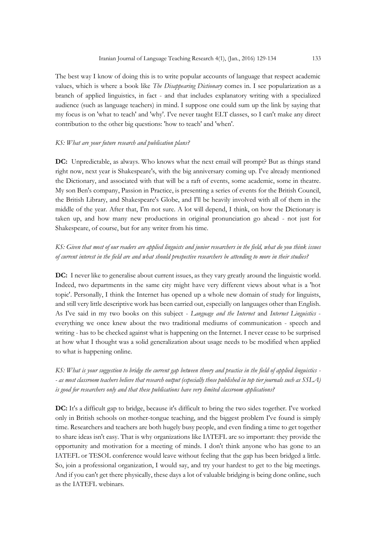The best way I know of doing this is to write popular accounts of language that respect academic values, which is where a book like *The Disappearing Dictionary* comes in. I see popularization as a branch of applied linguistics, in fact - and that includes explanatory writing with a specialized audience (such as language teachers) in mind. I suppose one could sum up the link by saying that my focus is on 'what to teach' and 'why'. I've never taught ELT classes, so I can't make any direct

#### *KS: What are your future research and publication plans?*

contribution to the other big questions: 'how to teach' and 'when'.

**DC:** Unpredictable, as always. Who knows what the next email will prompt? But as things stand right now, next year is Shakespeare's, with the big anniversary coming up. I've already mentioned the Dictionary, and associated with that will be a raft of events, some academic, some in theatre. My son Ben's company, Passion in Practice, is presenting a series of events for the British Council, the British Library, and Shakespeare's Globe, and I'll be heavily involved with all of them in the middle of the year. After that, I'm not sure. A lot will depend, I think, on how the Dictionary is taken up, and how many new productions in original pronunciation go ahead - not just for Shakespeare, of course, but for any writer from his time.

## *KS: Given that most of our readers are applied linguists and junior researchers in the field, what do you think issues of current interest in the field are and what should prospective researchers be attending to more in their studies?*

**DC:** I never like to generalise about current issues, as they vary greatly around the linguistic world. Indeed, two departments in the same city might have very different views about what is a 'hot topic'. Personally, I think the Internet has opened up a whole new domain of study for linguists, and still very little descriptive work has been carried out, especially on languages other than English. As I've said in my two books on this subject - *Language and the Internet* and *Internet Linguistics* everything we once knew about the two traditional mediums of communication - speech and writing - has to be checked against what is happening on the Internet. I never cease to be surprised at how what I thought was a solid generalization about usage needs to be modified when applied to what is happening online.

*KS: What is your suggestion to bridge the current gap between theory and practice in the field of applied linguistics - - as most classroom teachers believe that research output (especially those published in top tier journals such as SSLA) is good for researchers only and that these publications have very limited classroom applications?*

**DC:** It's a difficult gap to bridge, because it's difficult to bring the two sides together. I've worked only in British schools on mother-tongue teaching, and the biggest problem I've found is simply time. Researchers and teachers are both hugely busy people, and even finding a time to get together to share ideas isn't easy. That is why organizations like IATEFL are so important: they provide the opportunity and motivation for a meeting of minds. I don't think anyone who has gone to an IATEFL or TESOL conference would leave without feeling that the gap has been bridged a little. So, join a professional organization, I would say, and try your hardest to get to the big meetings. And if you can't get there physically, these days a lot of valuable bridging is being done online, such as the IATEFL webinars.